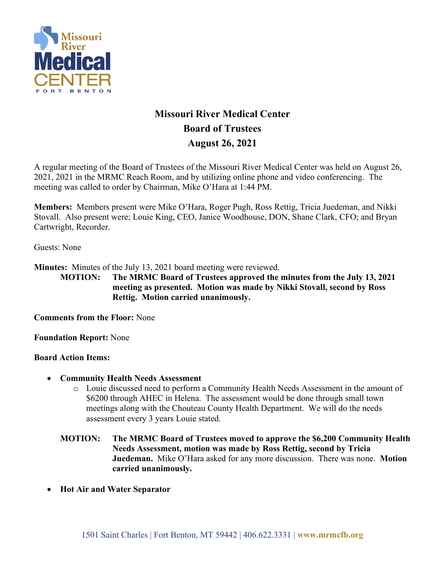

# **Missouri River Medical Center Board of Trustees August 26, 2021**

A regular meeting of the Board of Trustees of the Missouri River Medical Center was held on August 26, 2021, 2021 in the MRMC Reach Room, and by utilizing online phone and video conferencing. The meeting was called to order by Chairman, Mike O'Hara at 1:44 PM.

**Members:** Members present were Mike O'Hara, Roger Pugh, Ross Rettig, Tricia Juedeman, and Nikki Stovall. Also present were; Louie King, CEO, Janice Woodhouse, DON, Shane Clark, CFO; and Bryan Cartwright, Recorder.

Guests: None

**Minutes:** Minutes of the July 13, 2021 board meeting were reviewed.

**MOTION: The MRMC Board of Trustees approved the minutes from the July 13, 2021 meeting as presented. Motion was made by Nikki Stovall, second by Ross Rettig. Motion carried unanimously.**

**Comments from the Floor:** None

**Foundation Report:** None

## **Board Action Items:**

- **Community Health Needs Assessment**
	- o Louie discussed need to perform a Community Health Needs Assessment in the amount of \$6200 through AHEC in Helena. The assessment would be done through small town meetings along with the Chouteau County Health Department. We will do the needs assessment every 3 years Louie stated.
	- **MOTION: The MRMC Board of Trustees moved to approve the \$6,200 Community Health Needs Assessment, motion was made by Ross Rettig, second by Tricia Juedeman.** Mike O'Hara asked for any more discussion. There was none. **Motion carried unanimously.**
- **Hot Air and Water Separator**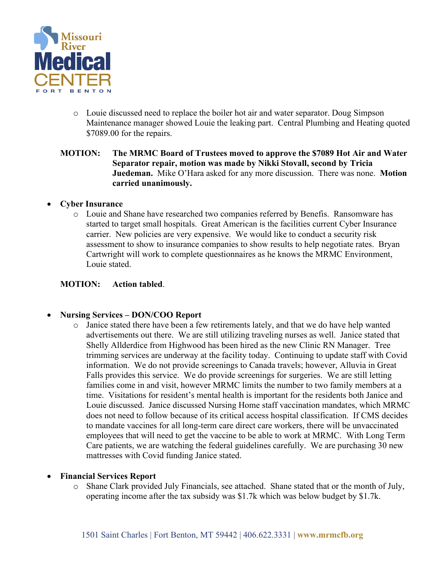

o Louie discussed need to replace the boiler hot air and water separator. Doug Simpson Maintenance manager showed Louie the leaking part. Central Plumbing and Heating quoted \$7089.00 for the repairs.

## **MOTION: The MRMC Board of Trustees moved to approve the \$7089 Hot Air and Water Separator repair, motion was made by Nikki Stovall, second by Tricia Juedeman.** Mike O'Hara asked for any more discussion. There was none. **Motion carried unanimously.**

## • **Cyber Insurance**

o Louie and Shane have researched two companies referred by Benefis. Ransomware has started to target small hospitals. Great American is the facilities current Cyber Insurance carrier. New policies are very expensive. We would like to conduct a security risk assessment to show to insurance companies to show results to help negotiate rates. Bryan Cartwright will work to complete questionnaires as he knows the MRMC Environment, Louie stated.

## **MOTION: Action tabled**.

## • **Nursing Services – DON/COO Report**

o Janice stated there have been a few retirements lately, and that we do have help wanted advertisements out there. We are still utilizing traveling nurses as well. Janice stated that Shelly Allderdice from Highwood has been hired as the new Clinic RN Manager. Tree trimming services are underway at the facility today. Continuing to update staff with Covid information. We do not provide screenings to Canada travels; however, Alluvia in Great Falls provides this service. We do provide screenings for surgeries. We are still letting families come in and visit, however MRMC limits the number to two family members at a time. Visitations for resident's mental health is important for the residents both Janice and Louie discussed. Janice discussed Nursing Home staff vaccination mandates, which MRMC does not need to follow because of its critical access hospital classification. If CMS decides to mandate vaccines for all long-term care direct care workers, there will be unvaccinated employees that will need to get the vaccine to be able to work at MRMC. With Long Term Care patients, we are watching the federal guidelines carefully. We are purchasing 30 new mattresses with Covid funding Janice stated.

## • **Financial Services Report**

o Shane Clark provided July Financials, see attached. Shane stated that or the month of July, operating income after the tax subsidy was \$1.7k which was below budget by \$1.7k.